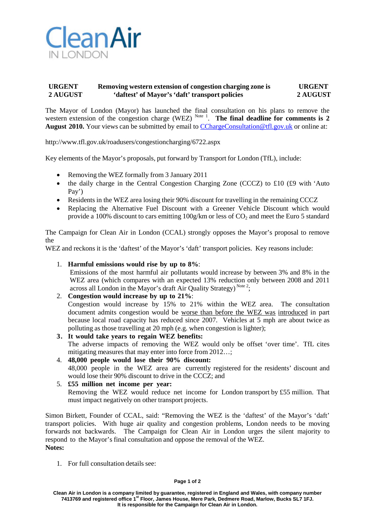

## **URGENT Removing western extension of congestion charging zone is URGENT 2 AUGUST 'daftest' of Mayor's 'daft' transport policies 2 AUGUST**

The Mayor of London (Mayor) has launched the final consultation on his plans to remove the western extension of the congestion charge (WEZ) Note 1. The final deadline for comments is 2 August 2010. Your views can be submitted by email to [CChargeConsultation@tfl.gov.uk](mailto:CChargeConsultation@tfl.gov.uk) or online at:

http://www.tfl.gov.uk/roadusers/congestioncharging/6722.aspx

Key elements of the Mayor's proposals, put forward by Transport for London (TfL), include:

- Removing the WEZ formally from 3 January 2011
- the daily charge in the Central Congestion Charging Zone (CCCZ) to £10 (£9 with 'Auto Pay')
- Residents in the WEZ area losing their 90% discount for travelling in the remaining CCCZ
- Replacing the Alternative Fuel Discount with a Greener Vehicle Discount which would provide a 100% discount to cars emitting  $100g/\text{km}$  or less of  $CO_2$  and meet the Euro 5 standard

The Campaign for Clean Air in London (CCAL) strongly opposes the Mayor's proposal to remove the

WEZ and reckons it is the 'daftest' of the Mayor's 'daft' transport policies. Key reasons include:

1. **Harmful emissions would rise by up to 8%**:

Emissions of the most harmful air pollutants would increase by between 3% and 8% in the WEZ area (which compares with an expected 13% reduction only between 2008 and 2011 across all London in the Mayor's draft Air Quality Strategy)<sup>Note 2</sup>;

- 2. **Congestion would increase by up to 21%**: Congestion would increase by 15% to 21% within the WEZ area. The consultation document admits congestion would be worse than before the WEZ was introduced in part because local road capacity has reduced since 2007. Vehicles at 5 mph are about twice as polluting as those travelling at 20 mph (e.g. when congestion is lighter);
- **3. It would take years to regain WEZ benefits:** The adverse impacts of removing the WEZ would only be offset 'over time'. TfL cites mitigating measures that may enter into force from 2012…;
- 4. **48,000 people would lose their 90% discount:** 48,000 people in the WEZ area are currently registered for the residents' discount and would lose their 90% discount to drive in the CCCZ; and
- 5. **£55 million net income per year:** Removing the WEZ would reduce net income for London transport by £55 million. That must impact negatively on other transport projects.

Simon Birkett, Founder of CCAL, said: "Removing the WEZ is the 'daftest' of the Mayor's 'daft' transport policies. With huge air quality and congestion problems, London needs to be moving forwards not backwards. The Campaign for Clean Air in London urges the silent majority to respond to the Mayor's final consultation and oppose the removal of the WEZ. **Notes:**

1. For full consultation details see: